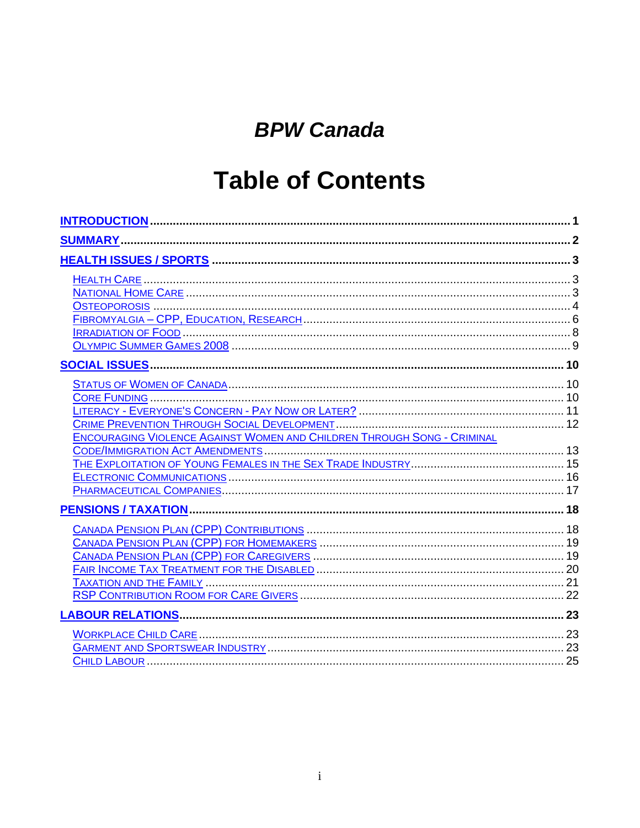# **BPW Canada**

# **Table of Contents**

| <b>ENCOURAGING VIOLENCE AGAINST WOMEN AND CHILDREN THROUGH SONG - CRIMINAL</b> |  |
|--------------------------------------------------------------------------------|--|
|                                                                                |  |
|                                                                                |  |
|                                                                                |  |
|                                                                                |  |
|                                                                                |  |
|                                                                                |  |
|                                                                                |  |
|                                                                                |  |
|                                                                                |  |
|                                                                                |  |
|                                                                                |  |
|                                                                                |  |
|                                                                                |  |
|                                                                                |  |
|                                                                                |  |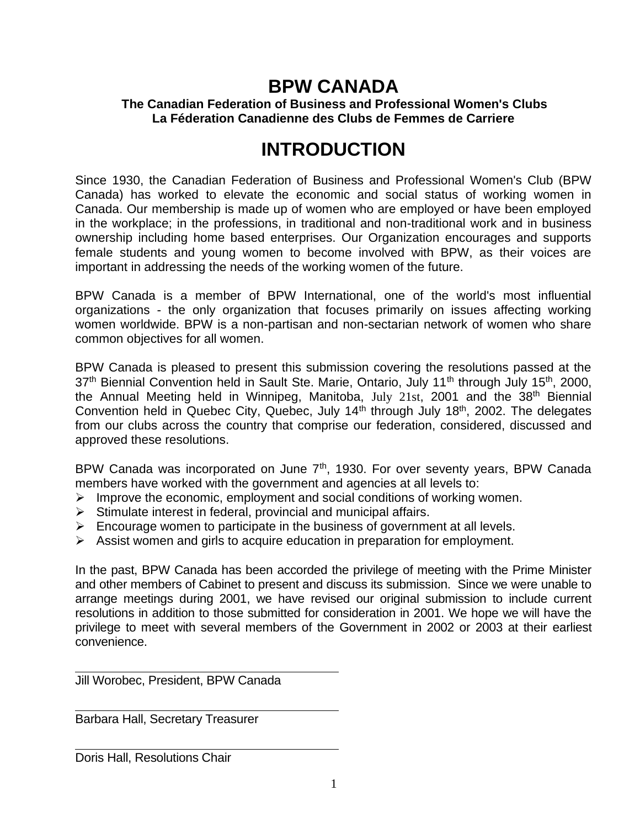## **BPW CANADA**

#### **The Canadian Federation of Business and Professional Women's Clubs La Féderation Canadienne des Clubs de Femmes de Carriere**

# **INTRODUCTION**

Since 1930, the Canadian Federation of Business and Professional Women's Club (BPW Canada) has worked to elevate the economic and social status of working women in Canada. Our membership is made up of women who are employed or have been employed in the workplace; in the professions, in traditional and non-traditional work and in business ownership including home based enterprises. Our Organization encourages and supports female students and young women to become involved with BPW, as their voices are important in addressing the needs of the working women of the future.

BPW Canada is a member of BPW International, one of the world's most influential organizations - the only organization that focuses primarily on issues affecting working women worldwide. BPW is a non-partisan and non-sectarian network of women who share common objectives for all women.

BPW Canada is pleased to present this submission covering the resolutions passed at the 37<sup>th</sup> Biennial Convention held in Sault Ste. Marie, Ontario, July 11<sup>th</sup> through July 15<sup>th</sup>, 2000, the Annual Meeting held in Winnipeg, Manitoba, July 21st, 2001 and the 38th Biennial Convention held in Quebec City, Quebec, July 14<sup>th</sup> through July 18<sup>th</sup>, 2002. The delegates from our clubs across the country that comprise our federation, considered, discussed and approved these resolutions.

BPW Canada was incorporated on June  $7<sup>th</sup>$ , 1930. For over seventy years, BPW Canada members have worked with the government and agencies at all levels to:

- $\triangleright$  Improve the economic, employment and social conditions of working women.
- $\triangleright$  Stimulate interest in federal, provincial and municipal affairs.
- $\triangleright$  Encourage women to participate in the business of government at all levels.
- ➢ Assist women and girls to acquire education in preparation for employment.

In the past, BPW Canada has been accorded the privilege of meeting with the Prime Minister and other members of Cabinet to present and discuss its submission. Since we were unable to arrange meetings during 2001, we have revised our original submission to include current resolutions in addition to those submitted for consideration in 2001. We hope we will have the privilege to meet with several members of the Government in 2002 or 2003 at their earliest convenience.

Jill Worobec, President, BPW Canada

Barbara Hall, Secretary Treasurer

Doris Hall, Resolutions Chair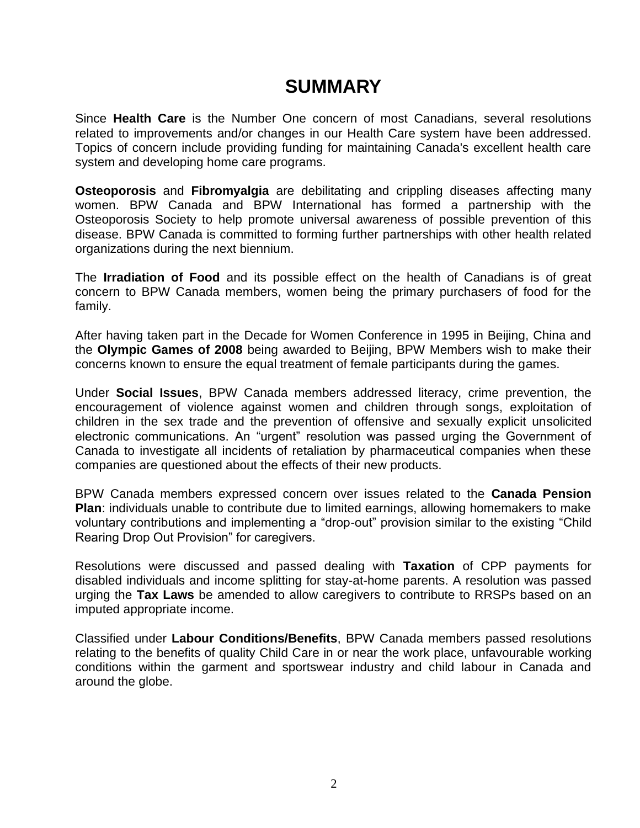### **SUMMARY**

Since **Health Care** is the Number One concern of most Canadians, several resolutions related to improvements and/or changes in our Health Care system have been addressed. Topics of concern include providing funding for maintaining Canada's excellent health care system and developing home care programs.

**Osteoporosis** and **Fibromyalgia** are debilitating and crippling diseases affecting many women. BPW Canada and BPW International has formed a partnership with the Osteoporosis Society to help promote universal awareness of possible prevention of this disease. BPW Canada is committed to forming further partnerships with other health related organizations during the next biennium.

The **Irradiation of Food** and its possible effect on the health of Canadians is of great concern to BPW Canada members, women being the primary purchasers of food for the family.

After having taken part in the Decade for Women Conference in 1995 in Beijing, China and the **Olympic Games of 2008** being awarded to Beijing, BPW Members wish to make their concerns known to ensure the equal treatment of female participants during the games.

Under **Social Issues**, BPW Canada members addressed literacy, crime prevention, the encouragement of violence against women and children through songs, exploitation of children in the sex trade and the prevention of offensive and sexually explicit unsolicited electronic communications. An "urgent" resolution was passed urging the Government of Canada to investigate all incidents of retaliation by pharmaceutical companies when these companies are questioned about the effects of their new products.

BPW Canada members expressed concern over issues related to the **Canada Pension Plan**: individuals unable to contribute due to limited earnings, allowing homemakers to make voluntary contributions and implementing a "drop-out" provision similar to the existing "Child Rearing Drop Out Provision" for caregivers.

Resolutions were discussed and passed dealing with **Taxation** of CPP payments for disabled individuals and income splitting for stay-at-home parents. A resolution was passed urging the **Tax Laws** be amended to allow caregivers to contribute to RRSPs based on an imputed appropriate income.

Classified under **Labour Conditions/Benefits**, BPW Canada members passed resolutions relating to the benefits of quality Child Care in or near the work place, unfavourable working conditions within the garment and sportswear industry and child labour in Canada and around the globe.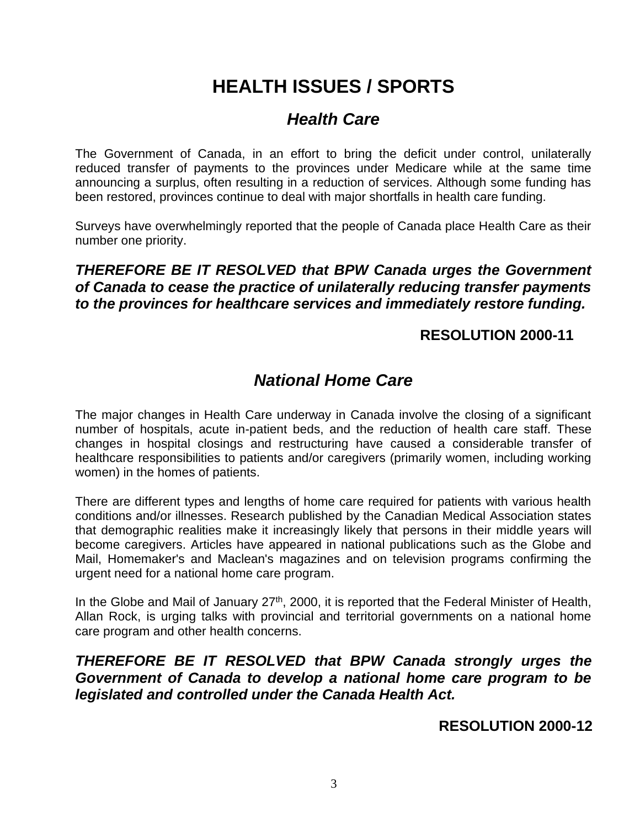# **HEALTH ISSUES / SPORTS**

### *Health Care*

The Government of Canada, in an effort to bring the deficit under control, unilaterally reduced transfer of payments to the provinces under Medicare while at the same time announcing a surplus, often resulting in a reduction of services. Although some funding has been restored, provinces continue to deal with major shortfalls in health care funding.

Surveys have overwhelmingly reported that the people of Canada place Health Care as their number one priority.

*THEREFORE BE IT RESOLVED that BPW Canada urges the Government of Canada to cease the practice of unilaterally reducing transfer payments to the provinces for healthcare services and immediately restore funding.*

#### **RESOLUTION 2000-11**

### *National Home Care*

The major changes in Health Care underway in Canada involve the closing of a significant number of hospitals, acute in-patient beds, and the reduction of health care staff. These changes in hospital closings and restructuring have caused a considerable transfer of healthcare responsibilities to patients and/or caregivers (primarily women, including working women) in the homes of patients.

There are different types and lengths of home care required for patients with various health conditions and/or illnesses. Research published by the Canadian Medical Association states that demographic realities make it increasingly likely that persons in their middle years will become caregivers. Articles have appeared in national publications such as the Globe and Mail, Homemaker's and Maclean's magazines and on television programs confirming the urgent need for a national home care program.

In the Globe and Mail of January 27<sup>th</sup>, 2000, it is reported that the Federal Minister of Health, Allan Rock, is urging talks with provincial and territorial governments on a national home care program and other health concerns.

#### *THEREFORE BE IT RESOLVED that BPW Canada strongly urges the Government of Canada to develop a national home care program to be legislated and controlled under the Canada Health Act.*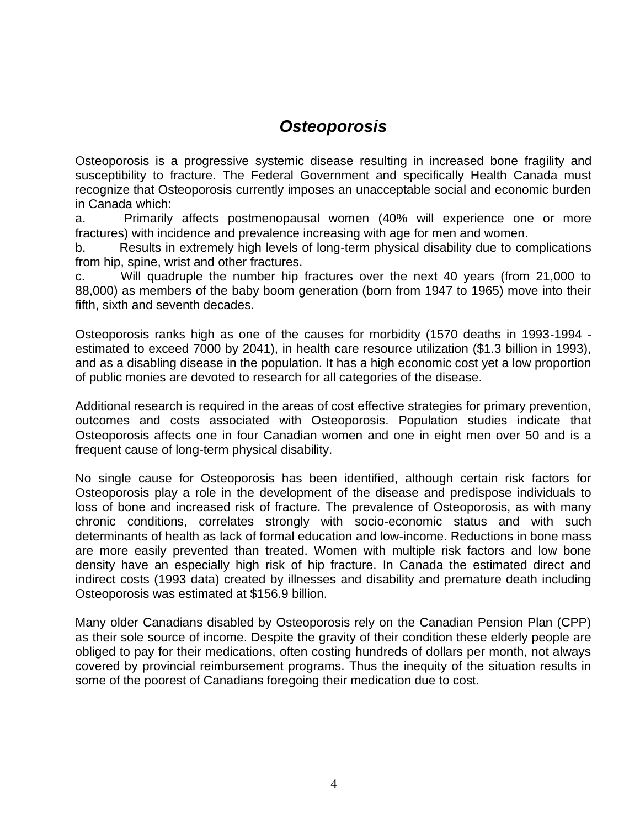### *Osteoporosis*

Osteoporosis is a progressive systemic disease resulting in increased bone fragility and susceptibility to fracture. The Federal Government and specifically Health Canada must recognize that Osteoporosis currently imposes an unacceptable social and economic burden in Canada which:

a. Primarily affects postmenopausal women (40% will experience one or more fractures) with incidence and prevalence increasing with age for men and women.

b. Results in extremely high levels of long-term physical disability due to complications from hip, spine, wrist and other fractures.

c. Will quadruple the number hip fractures over the next 40 years (from 21,000 to 88,000) as members of the baby boom generation (born from 1947 to 1965) move into their fifth, sixth and seventh decades.

Osteoporosis ranks high as one of the causes for morbidity (1570 deaths in 1993-1994 estimated to exceed 7000 by 2041), in health care resource utilization (\$1.3 billion in 1993), and as a disabling disease in the population. It has a high economic cost yet a low proportion of public monies are devoted to research for all categories of the disease.

Additional research is required in the areas of cost effective strategies for primary prevention, outcomes and costs associated with Osteoporosis. Population studies indicate that Osteoporosis affects one in four Canadian women and one in eight men over 50 and is a frequent cause of long-term physical disability.

No single cause for Osteoporosis has been identified, although certain risk factors for Osteoporosis play a role in the development of the disease and predispose individuals to loss of bone and increased risk of fracture. The prevalence of Osteoporosis, as with many chronic conditions, correlates strongly with socio-economic status and with such determinants of health as lack of formal education and low-income. Reductions in bone mass are more easily prevented than treated. Women with multiple risk factors and low bone density have an especially high risk of hip fracture. In Canada the estimated direct and indirect costs (1993 data) created by illnesses and disability and premature death including Osteoporosis was estimated at \$156.9 billion.

Many older Canadians disabled by Osteoporosis rely on the Canadian Pension Plan (CPP) as their sole source of income. Despite the gravity of their condition these elderly people are obliged to pay for their medications, often costing hundreds of dollars per month, not always covered by provincial reimbursement programs. Thus the inequity of the situation results in some of the poorest of Canadians foregoing their medication due to cost.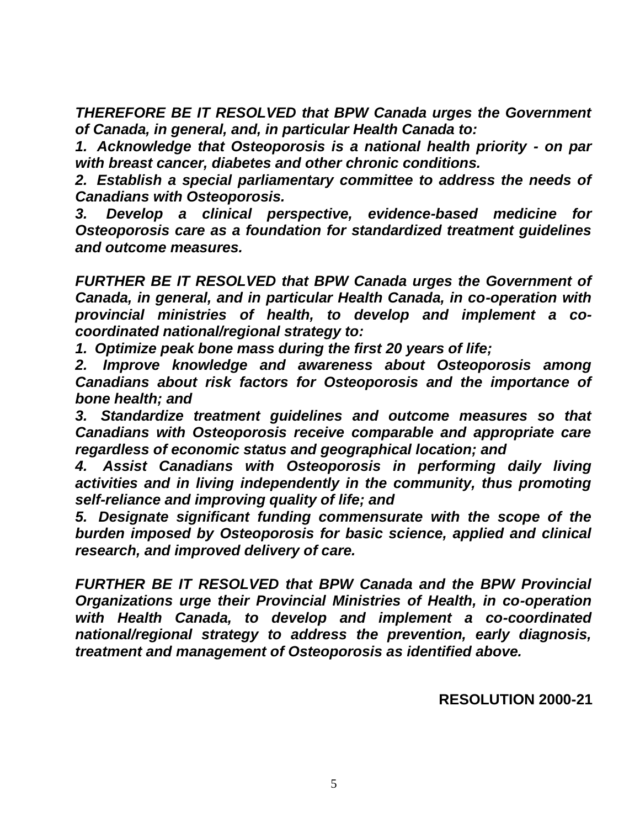*THEREFORE BE IT RESOLVED that BPW Canada urges the Government of Canada, in general, and, in particular Health Canada to:*

*1. Acknowledge that Osteoporosis is a national health priority - on par with breast cancer, diabetes and other chronic conditions.*

*2. Establish a special parliamentary committee to address the needs of Canadians with Osteoporosis.*

*3. Develop a clinical perspective, evidence-based medicine for Osteoporosis care as a foundation for standardized treatment guidelines and outcome measures.*

*FURTHER BE IT RESOLVED that BPW Canada urges the Government of Canada, in general, and in particular Health Canada, in co-operation with provincial ministries of health, to develop and implement a cocoordinated national/regional strategy to:*

*1. Optimize peak bone mass during the first 20 years of life;*

*2. Improve knowledge and awareness about Osteoporosis among Canadians about risk factors for Osteoporosis and the importance of bone health; and*

*3. Standardize treatment guidelines and outcome measures so that Canadians with Osteoporosis receive comparable and appropriate care regardless of economic status and geographical location; and*

*4. Assist Canadians with Osteoporosis in performing daily living activities and in living independently in the community, thus promoting self-reliance and improving quality of life; and*

*5. Designate significant funding commensurate with the scope of the burden imposed by Osteoporosis for basic science, applied and clinical research, and improved delivery of care.*

*FURTHER BE IT RESOLVED that BPW Canada and the BPW Provincial Organizations urge their Provincial Ministries of Health, in co-operation with Health Canada, to develop and implement a co-coordinated national/regional strategy to address the prevention, early diagnosis, treatment and management of Osteoporosis as identified above.*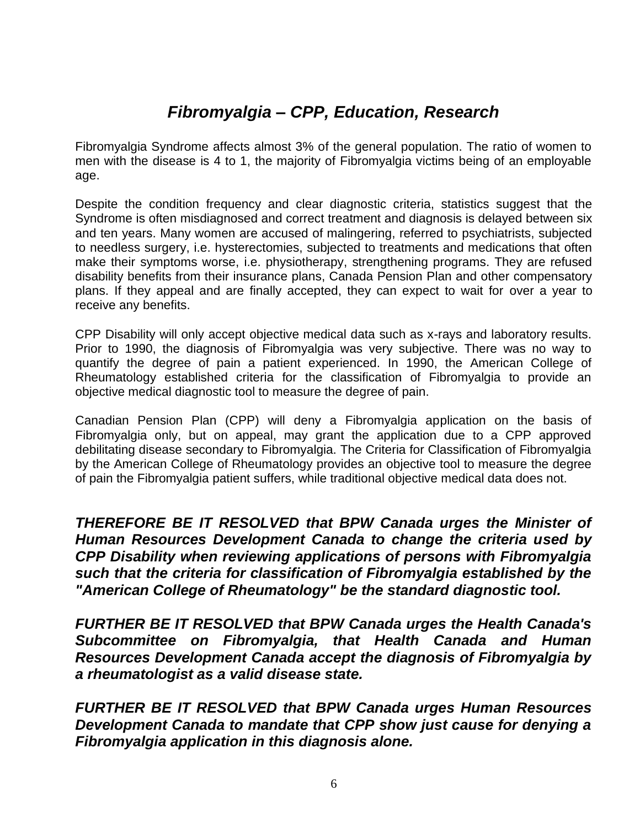### *Fibromyalgia – CPP, Education, Research*

Fibromyalgia Syndrome affects almost 3% of the general population. The ratio of women to men with the disease is 4 to 1, the majority of Fibromyalgia victims being of an employable age.

Despite the condition frequency and clear diagnostic criteria, statistics suggest that the Syndrome is often misdiagnosed and correct treatment and diagnosis is delayed between six and ten years. Many women are accused of malingering, referred to psychiatrists, subjected to needless surgery, i.e. hysterectomies, subjected to treatments and medications that often make their symptoms worse, i.e. physiotherapy, strengthening programs. They are refused disability benefits from their insurance plans, Canada Pension Plan and other compensatory plans. If they appeal and are finally accepted, they can expect to wait for over a year to receive any benefits.

CPP Disability will only accept objective medical data such as x-rays and laboratory results. Prior to 1990, the diagnosis of Fibromyalgia was very subjective. There was no way to quantify the degree of pain a patient experienced. In 1990, the American College of Rheumatology established criteria for the classification of Fibromyalgia to provide an objective medical diagnostic tool to measure the degree of pain.

Canadian Pension Plan (CPP) will deny a Fibromyalgia application on the basis of Fibromyalgia only, but on appeal, may grant the application due to a CPP approved debilitating disease secondary to Fibromyalgia. The Criteria for Classification of Fibromyalgia by the American College of Rheumatology provides an objective tool to measure the degree of pain the Fibromyalgia patient suffers, while traditional objective medical data does not.

*THEREFORE BE IT RESOLVED that BPW Canada urges the Minister of Human Resources Development Canada to change the criteria used by CPP Disability when reviewing applications of persons with Fibromyalgia such that the criteria for classification of Fibromyalgia established by the "American College of Rheumatology" be the standard diagnostic tool.*

*FURTHER BE IT RESOLVED that BPW Canada urges the Health Canada's Subcommittee on Fibromyalgia, that Health Canada and Human Resources Development Canada accept the diagnosis of Fibromyalgia by a rheumatologist as a valid disease state.*

*FURTHER BE IT RESOLVED that BPW Canada urges Human Resources Development Canada to mandate that CPP show just cause for denying a Fibromyalgia application in this diagnosis alone.*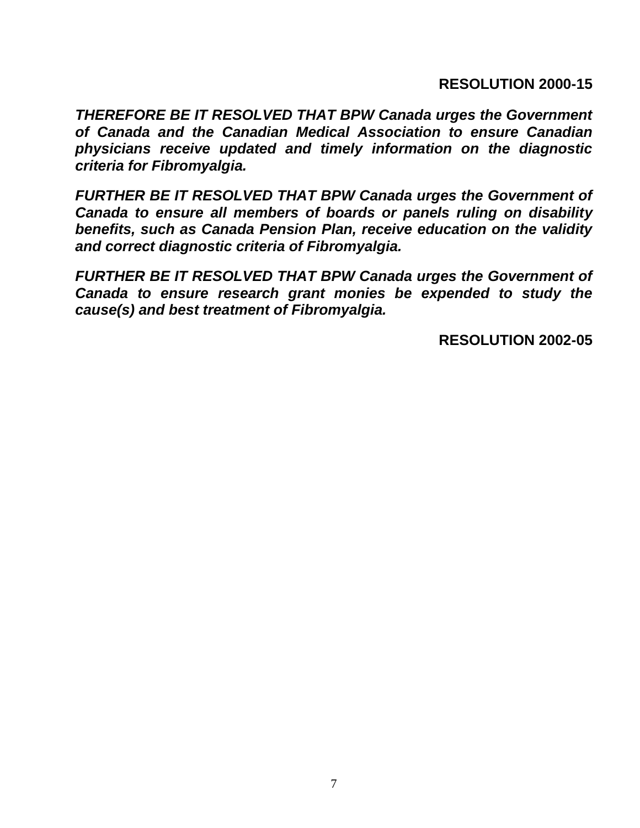**RESOLUTION 2000-15**

*THEREFORE BE IT RESOLVED THAT BPW Canada urges the Government of Canada and the Canadian Medical Association to ensure Canadian physicians receive updated and timely information on the diagnostic criteria for Fibromyalgia.*

*FURTHER BE IT RESOLVED THAT BPW Canada urges the Government of Canada to ensure all members of boards or panels ruling on disability benefits, such as Canada Pension Plan, receive education on the validity and correct diagnostic criteria of Fibromyalgia.*

*FURTHER BE IT RESOLVED THAT BPW Canada urges the Government of Canada to ensure research grant monies be expended to study the cause(s) and best treatment of Fibromyalgia.*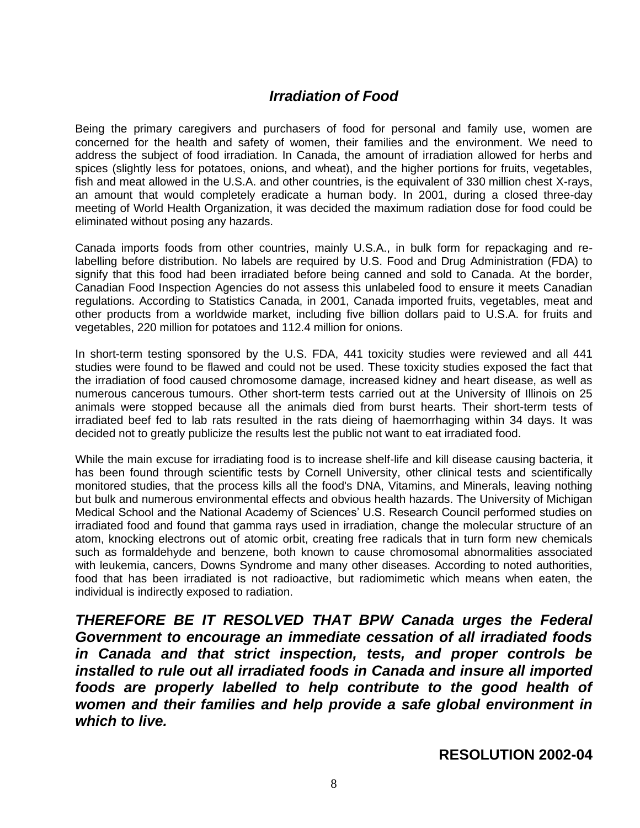#### *Irradiation of Food*

Being the primary caregivers and purchasers of food for personal and family use, women are concerned for the health and safety of women, their families and the environment. We need to address the subject of food irradiation. In Canada, the amount of irradiation allowed for herbs and spices (slightly less for potatoes, onions, and wheat), and the higher portions for fruits, vegetables, fish and meat allowed in the U.S.A. and other countries, is the equivalent of 330 million chest X-rays, an amount that would completely eradicate a human body. In 2001, during a closed three-day meeting of World Health Organization, it was decided the maximum radiation dose for food could be eliminated without posing any hazards.

Canada imports foods from other countries, mainly U.S.A., in bulk form for repackaging and relabelling before distribution. No labels are required by U.S. Food and Drug Administration (FDA) to signify that this food had been irradiated before being canned and sold to Canada. At the border, Canadian Food Inspection Agencies do not assess this unlabeled food to ensure it meets Canadian regulations. According to Statistics Canada, in 2001, Canada imported fruits, vegetables, meat and other products from a worldwide market, including five billion dollars paid to U.S.A. for fruits and vegetables, 220 million for potatoes and 112.4 million for onions.

In short-term testing sponsored by the U.S. FDA, 441 toxicity studies were reviewed and all 441 studies were found to be flawed and could not be used. These toxicity studies exposed the fact that the irradiation of food caused chromosome damage, increased kidney and heart disease, as well as numerous cancerous tumours. Other short-term tests carried out at the University of Illinois on 25 animals were stopped because all the animals died from burst hearts. Their short-term tests of irradiated beef fed to lab rats resulted in the rats dieing of haemorrhaging within 34 days. It was decided not to greatly publicize the results lest the public not want to eat irradiated food.

While the main excuse for irradiating food is to increase shelf-life and kill disease causing bacteria, it has been found through scientific tests by Cornell University, other clinical tests and scientifically monitored studies, that the process kills all the food's DNA, Vitamins, and Minerals, leaving nothing but bulk and numerous environmental effects and obvious health hazards. The University of Michigan Medical School and the National Academy of Sciences' U.S. Research Council performed studies on irradiated food and found that gamma rays used in irradiation, change the molecular structure of an atom, knocking electrons out of atomic orbit, creating free radicals that in turn form new chemicals such as formaldehyde and benzene, both known to cause chromosomal abnormalities associated with leukemia, cancers, Downs Syndrome and many other diseases. According to noted authorities, food that has been irradiated is not radioactive, but radiomimetic which means when eaten, the individual is indirectly exposed to radiation.

*THEREFORE BE IT RESOLVED THAT BPW Canada urges the Federal Government to encourage an immediate cessation of all irradiated foods in Canada and that strict inspection, tests, and proper controls be installed to rule out all irradiated foods in Canada and insure all imported foods are properly labelled to help contribute to the good health of women and their families and help provide a safe global environment in which to live.*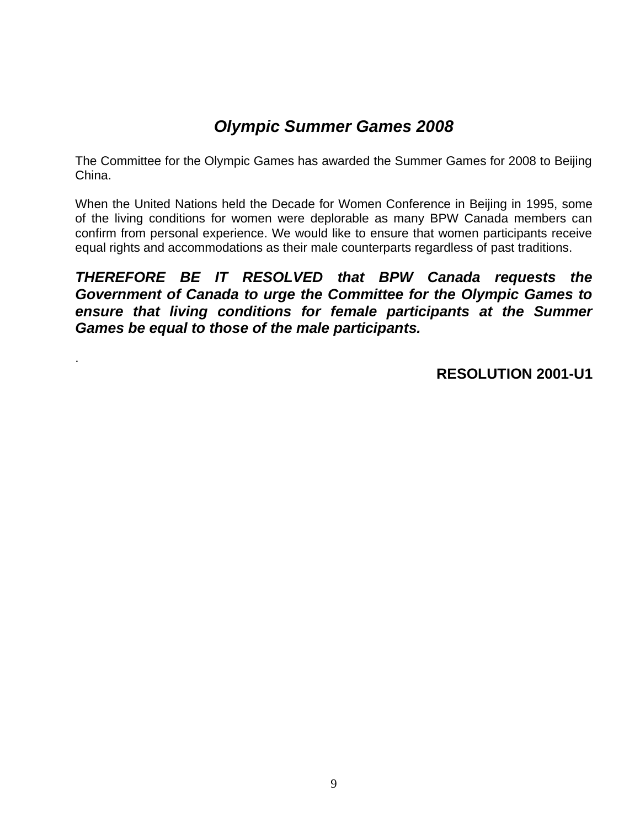### *Olympic Summer Games 2008*

The Committee for the Olympic Games has awarded the Summer Games for 2008 to Beijing China.

When the United Nations held the Decade for Women Conference in Beijing in 1995, some of the living conditions for women were deplorable as many BPW Canada members can confirm from personal experience. We would like to ensure that women participants receive equal rights and accommodations as their male counterparts regardless of past traditions.

#### *THEREFORE BE IT RESOLVED that BPW Canada requests the Government of Canada to urge the Committee for the Olympic Games to ensure that living conditions for female participants at the Summer Games be equal to those of the male participants.*

.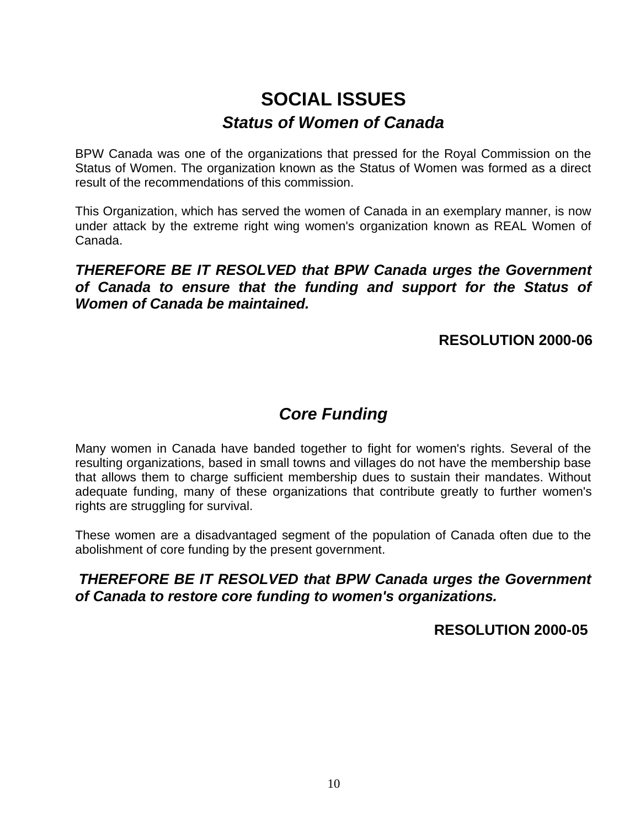# **SOCIAL ISSUES** *Status of Women of Canada*

BPW Canada was one of the organizations that pressed for the Royal Commission on the Status of Women. The organization known as the Status of Women was formed as a direct result of the recommendations of this commission.

This Organization, which has served the women of Canada in an exemplary manner, is now under attack by the extreme right wing women's organization known as REAL Women of Canada.

*THEREFORE BE IT RESOLVED that BPW Canada urges the Government of Canada to ensure that the funding and support for the Status of Women of Canada be maintained.*

**RESOLUTION 2000-06**

### *Core Funding*

Many women in Canada have banded together to fight for women's rights. Several of the resulting organizations, based in small towns and villages do not have the membership base that allows them to charge sufficient membership dues to sustain their mandates. Without adequate funding, many of these organizations that contribute greatly to further women's rights are struggling for survival.

These women are a disadvantaged segment of the population of Canada often due to the abolishment of core funding by the present government.

#### *THEREFORE BE IT RESOLVED that BPW Canada urges the Government of Canada to restore core funding to women's organizations.*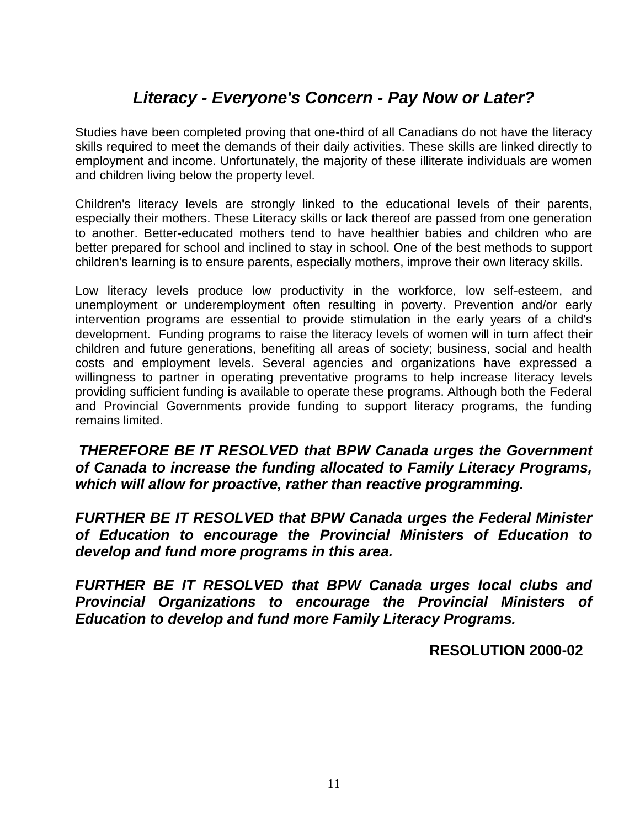### *Literacy - Everyone's Concern - Pay Now or Later?*

Studies have been completed proving that one-third of all Canadians do not have the literacy skills required to meet the demands of their daily activities. These skills are linked directly to employment and income. Unfortunately, the majority of these illiterate individuals are women and children living below the property level.

Children's literacy levels are strongly linked to the educational levels of their parents, especially their mothers. These Literacy skills or lack thereof are passed from one generation to another. Better-educated mothers tend to have healthier babies and children who are better prepared for school and inclined to stay in school. One of the best methods to support children's learning is to ensure parents, especially mothers, improve their own literacy skills.

Low literacy levels produce low productivity in the workforce, low self-esteem, and unemployment or underemployment often resulting in poverty. Prevention and/or early intervention programs are essential to provide stimulation in the early years of a child's development. Funding programs to raise the literacy levels of women will in turn affect their children and future generations, benefiting all areas of society; business, social and health costs and employment levels. Several agencies and organizations have expressed a willingness to partner in operating preventative programs to help increase literacy levels providing sufficient funding is available to operate these programs. Although both the Federal and Provincial Governments provide funding to support literacy programs, the funding remains limited.

*THEREFORE BE IT RESOLVED that BPW Canada urges the Government of Canada to increase the funding allocated to Family Literacy Programs, which will allow for proactive, rather than reactive programming.*

*FURTHER BE IT RESOLVED that BPW Canada urges the Federal Minister of Education to encourage the Provincial Ministers of Education to develop and fund more programs in this area.*

*FURTHER BE IT RESOLVED that BPW Canada urges local clubs and Provincial Organizations to encourage the Provincial Ministers of Education to develop and fund more Family Literacy Programs.*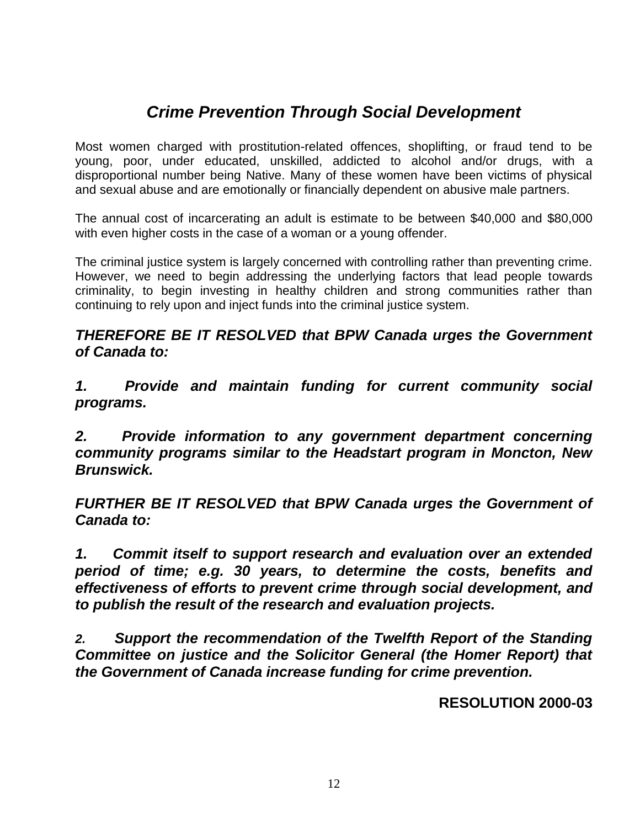### *Crime Prevention Through Social Development*

Most women charged with prostitution-related offences, shoplifting, or fraud tend to be young, poor, under educated, unskilled, addicted to alcohol and/or drugs, with a disproportional number being Native. Many of these women have been victims of physical and sexual abuse and are emotionally or financially dependent on abusive male partners.

The annual cost of incarcerating an adult is estimate to be between \$40,000 and \$80,000 with even higher costs in the case of a woman or a young offender.

The criminal justice system is largely concerned with controlling rather than preventing crime. However, we need to begin addressing the underlying factors that lead people towards criminality, to begin investing in healthy children and strong communities rather than continuing to rely upon and inject funds into the criminal justice system.

*THEREFORE BE IT RESOLVED that BPW Canada urges the Government of Canada to:*

*1. Provide and maintain funding for current community social programs.*

*2. Provide information to any government department concerning community programs similar to the Headstart program in Moncton, New Brunswick.*

*FURTHER BE IT RESOLVED that BPW Canada urges the Government of Canada to:*

*1. Commit itself to support research and evaluation over an extended period of time; e.g. 30 years, to determine the costs, benefits and effectiveness of efforts to prevent crime through social development, and to publish the result of the research and evaluation projects.*

*2. Support the recommendation of the Twelfth Report of the Standing Committee on justice and the Solicitor General (the Homer Report) that the Government of Canada increase funding for crime prevention.*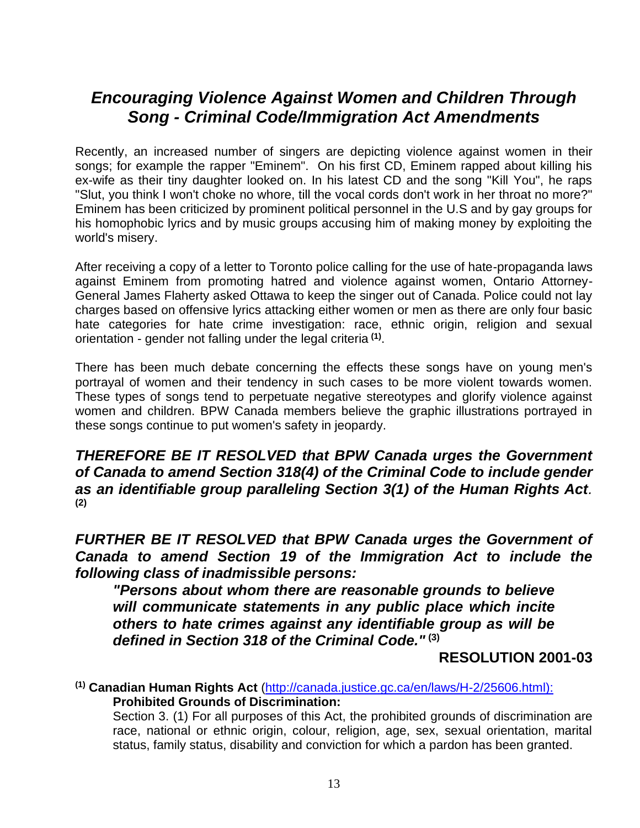### *Encouraging Violence Against Women and Children Through Song - Criminal Code/Immigration Act Amendments*

Recently, an increased number of singers are depicting violence against women in their songs; for example the rapper "Eminem". On his first CD, Eminem rapped about killing his ex-wife as their tiny daughter looked on. In his latest CD and the song "Kill You", he raps "Slut, you think I won't choke no whore, till the vocal cords don't work in her throat no more?" Eminem has been criticized by prominent political personnel in the U.S and by gay groups for his homophobic lyrics and by music groups accusing him of making money by exploiting the world's misery.

After receiving a copy of a letter to Toronto police calling for the use of hate-propaganda laws against Eminem from promoting hatred and violence against women, Ontario Attorney-General James Flaherty asked Ottawa to keep the singer out of Canada. Police could not lay charges based on offensive lyrics attacking either women or men as there are only four basic hate categories for hate crime investigation: race, ethnic origin, religion and sexual orientation - gender not falling under the legal criteria **(1)** .

There has been much debate concerning the effects these songs have on young men's portrayal of women and their tendency in such cases to be more violent towards women. These types of songs tend to perpetuate negative stereotypes and glorify violence against women and children. BPW Canada members believe the graphic illustrations portrayed in these songs continue to put women's safety in jeopardy.

*THEREFORE BE IT RESOLVED that BPW Canada urges the Government of Canada to amend Section 318(4) of the Criminal Code to include gender as an identifiable group paralleling Section 3(1) of the Human Rights Act.* **(2)**

*FURTHER BE IT RESOLVED that BPW Canada urges the Government of Canada to amend Section 19 of the Immigration Act to include the following class of inadmissible persons:*

*"Persons about whom there are reasonable grounds to believe will communicate statements in any public place which incite others to hate crimes against any identifiable group as will be defined in Section 318 of the Criminal Code."* **(3)**

**RESOLUTION 2001-03**

**(1) Canadian Human Rights Act** [\(http://canada.justice.gc.ca/en/laws/H-2/25606.html\):](http://canada.justice.gc.ca/en/laws/H-2/25606.html):) **Prohibited Grounds of Discrimination:** 

Section 3. (1) For all purposes of this Act, the prohibited grounds of discrimination are race, national or ethnic origin, colour, religion, age, sex, sexual orientation, marital status, family status, disability and conviction for which a pardon has been granted.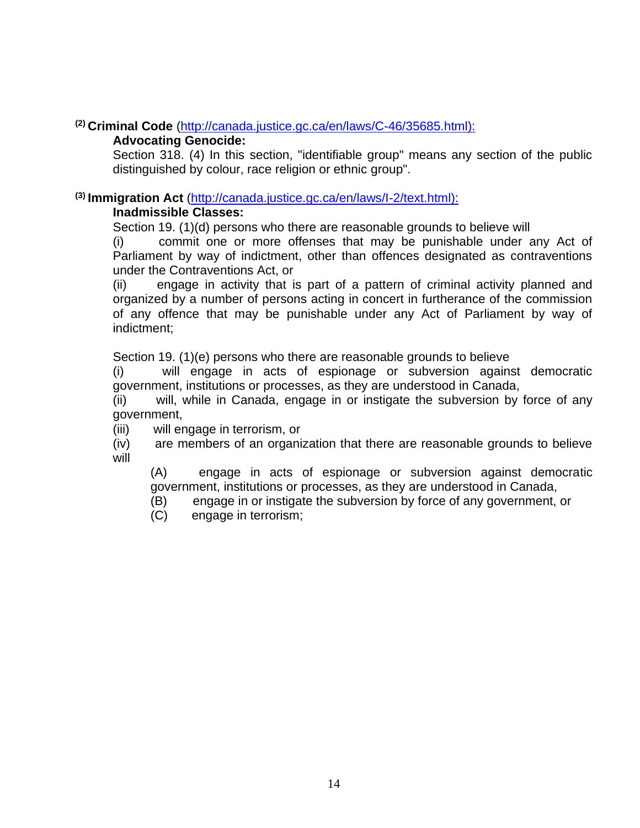#### **(2) Criminal Code** [\(http://canada.justice.gc.ca/en/laws/C-46/35685.html\):](http://canada.justice.gc.ca/en/laws/C-46/35685.html):)

#### **Advocating Genocide:**

Section 318. (4) In this section, "identifiable group" means any section of the public distinguished by colour, race religion or ethnic group".

#### **(3) Immigration Act** [\(http://canada.justice.gc.ca/en/laws/I-2/text.html\):](http://canada.justice.gc.ca/en/laws/I-2/text.html):)

#### **Inadmissible Classes:**

Section 19. (1)(d) persons who there are reasonable grounds to believe will

(i) commit one or more offenses that may be punishable under any Act of Parliament by way of indictment, other than offences designated as contraventions under the Contraventions Act, or

(ii) engage in activity that is part of a pattern of criminal activity planned and organized by a number of persons acting in concert in furtherance of the commission of any offence that may be punishable under any Act of Parliament by way of indictment;

Section 19. (1)(e) persons who there are reasonable grounds to believe

(i) will engage in acts of espionage or subversion against democratic government, institutions or processes, as they are understood in Canada,

(ii) will, while in Canada, engage in or instigate the subversion by force of any government,

(iii) will engage in terrorism, or

(iv) are members of an organization that there are reasonable grounds to believe will

(A) engage in acts of espionage or subversion against democratic government, institutions or processes, as they are understood in Canada,

- (B) engage in or instigate the subversion by force of any government, or
- (C) engage in terrorism;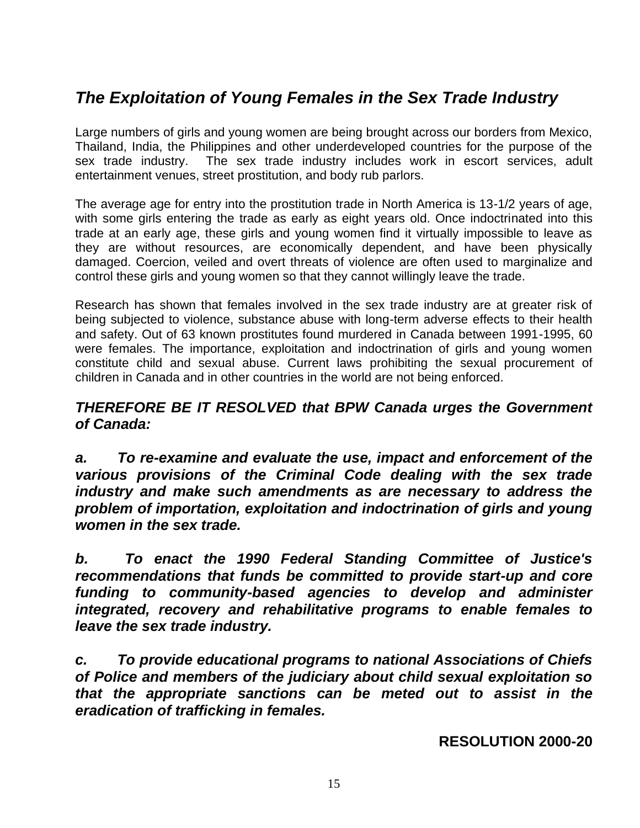### *The Exploitation of Young Females in the Sex Trade Industry*

Large numbers of girls and young women are being brought across our borders from Mexico, Thailand, India, the Philippines and other underdeveloped countries for the purpose of the sex trade industry. The sex trade industry includes work in escort services, adult entertainment venues, street prostitution, and body rub parlors.

The average age for entry into the prostitution trade in North America is 13-1/2 years of age, with some girls entering the trade as early as eight years old. Once indoctrinated into this trade at an early age, these girls and young women find it virtually impossible to leave as they are without resources, are economically dependent, and have been physically damaged. Coercion, veiled and overt threats of violence are often used to marginalize and control these girls and young women so that they cannot willingly leave the trade.

Research has shown that females involved in the sex trade industry are at greater risk of being subjected to violence, substance abuse with long-term adverse effects to their health and safety. Out of 63 known prostitutes found murdered in Canada between 1991-1995, 60 were females. The importance, exploitation and indoctrination of girls and young women constitute child and sexual abuse. Current laws prohibiting the sexual procurement of children in Canada and in other countries in the world are not being enforced.

#### *THEREFORE BE IT RESOLVED that BPW Canada urges the Government of Canada:*

*a. To re-examine and evaluate the use, impact and enforcement of the various provisions of the Criminal Code dealing with the sex trade industry and make such amendments as are necessary to address the problem of importation, exploitation and indoctrination of girls and young women in the sex trade.*

*b. To enact the 1990 Federal Standing Committee of Justice's recommendations that funds be committed to provide start-up and core funding to community-based agencies to develop and administer integrated, recovery and rehabilitative programs to enable females to leave the sex trade industry.*

*c. To provide educational programs to national Associations of Chiefs of Police and members of the judiciary about child sexual exploitation so that the appropriate sanctions can be meted out to assist in the eradication of trafficking in females.*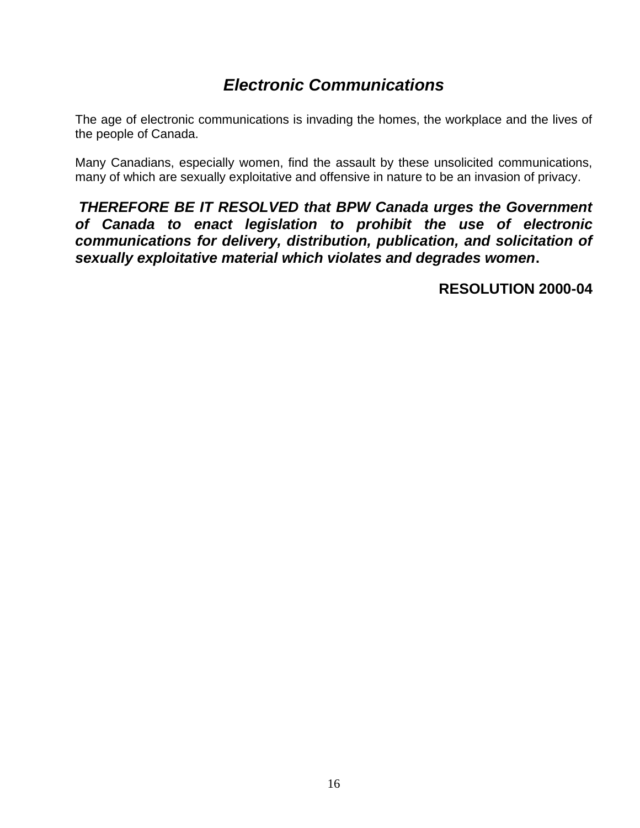### *Electronic Communications*

The age of electronic communications is invading the homes, the workplace and the lives of the people of Canada.

Many Canadians, especially women, find the assault by these unsolicited communications, many of which are sexually exploitative and offensive in nature to be an invasion of privacy.

*THEREFORE BE IT RESOLVED that BPW Canada urges the Government of Canada to enact legislation to prohibit the use of electronic communications for delivery, distribution, publication, and solicitation of sexually exploitative material which violates and degrades women***.**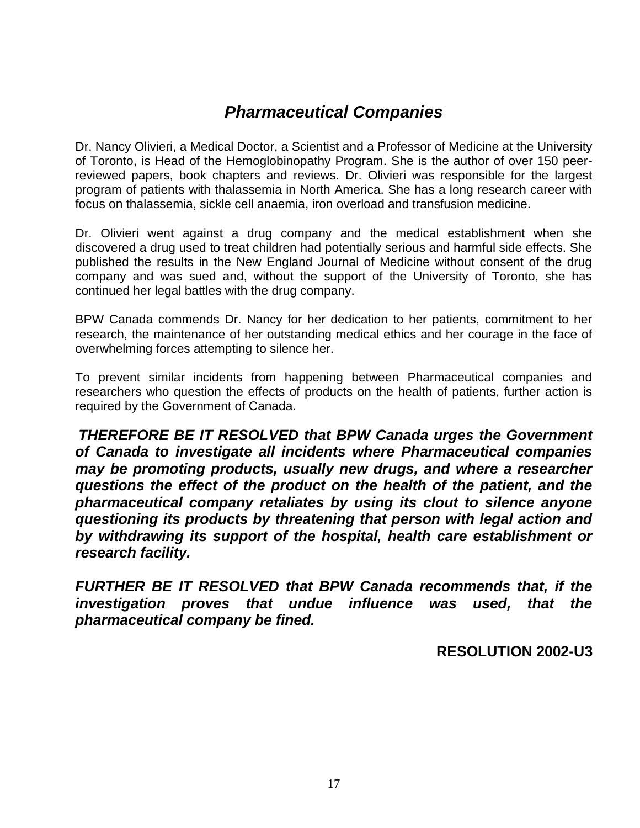### *Pharmaceutical Companies*

Dr. Nancy Olivieri, a Medical Doctor, a Scientist and a Professor of Medicine at the University of Toronto, is Head of the Hemoglobinopathy Program. She is the author of over 150 peerreviewed papers, book chapters and reviews. Dr. Olivieri was responsible for the largest program of patients with thalassemia in North America. She has a long research career with focus on thalassemia, sickle cell anaemia, iron overload and transfusion medicine.

Dr. Olivieri went against a drug company and the medical establishment when she discovered a drug used to treat children had potentially serious and harmful side effects. She published the results in the New England Journal of Medicine without consent of the drug company and was sued and, without the support of the University of Toronto, she has continued her legal battles with the drug company.

BPW Canada commends Dr. Nancy for her dedication to her patients, commitment to her research, the maintenance of her outstanding medical ethics and her courage in the face of overwhelming forces attempting to silence her.

To prevent similar incidents from happening between Pharmaceutical companies and researchers who question the effects of products on the health of patients, further action is required by the Government of Canada.

*THEREFORE BE IT RESOLVED that BPW Canada urges the Government of Canada to investigate all incidents where Pharmaceutical companies may be promoting products, usually new drugs, and where a researcher questions the effect of the product on the health of the patient, and the pharmaceutical company retaliates by using its clout to silence anyone questioning its products by threatening that person with legal action and by withdrawing its support of the hospital, health care establishment or research facility.*

*FURTHER BE IT RESOLVED that BPW Canada recommends that, if the investigation proves that undue influence was used, that the pharmaceutical company be fined.*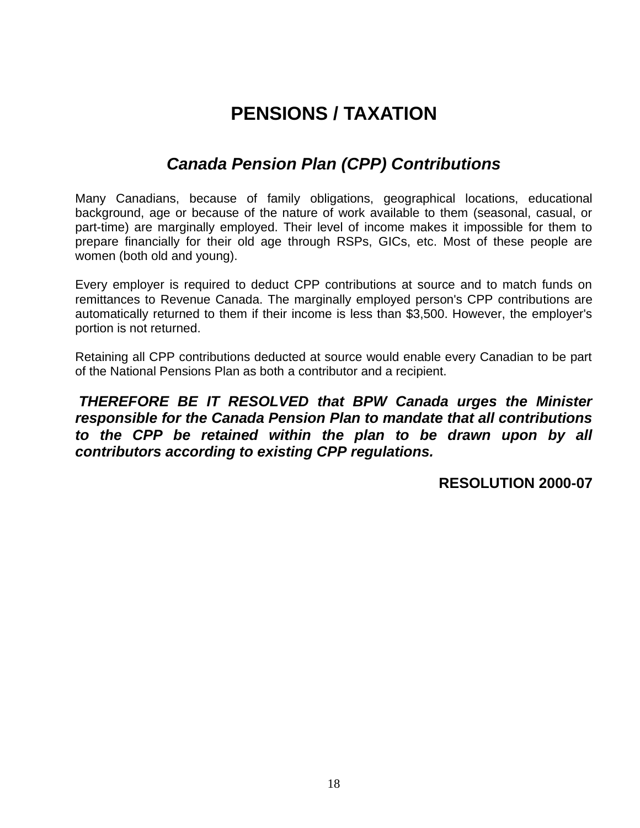# **PENSIONS / TAXATION**

### *Canada Pension Plan (CPP) Contributions*

Many Canadians, because of family obligations, geographical locations, educational background, age or because of the nature of work available to them (seasonal, casual, or part-time) are marginally employed. Their level of income makes it impossible for them to prepare financially for their old age through RSPs, GICs, etc. Most of these people are women (both old and young).

Every employer is required to deduct CPP contributions at source and to match funds on remittances to Revenue Canada. The marginally employed person's CPP contributions are automatically returned to them if their income is less than \$3,500. However, the employer's portion is not returned.

Retaining all CPP contributions deducted at source would enable every Canadian to be part of the National Pensions Plan as both a contributor and a recipient.

*THEREFORE BE IT RESOLVED that BPW Canada urges the Minister responsible for the Canada Pension Plan to mandate that all contributions to the CPP be retained within the plan to be drawn upon by all contributors according to existing CPP regulations.*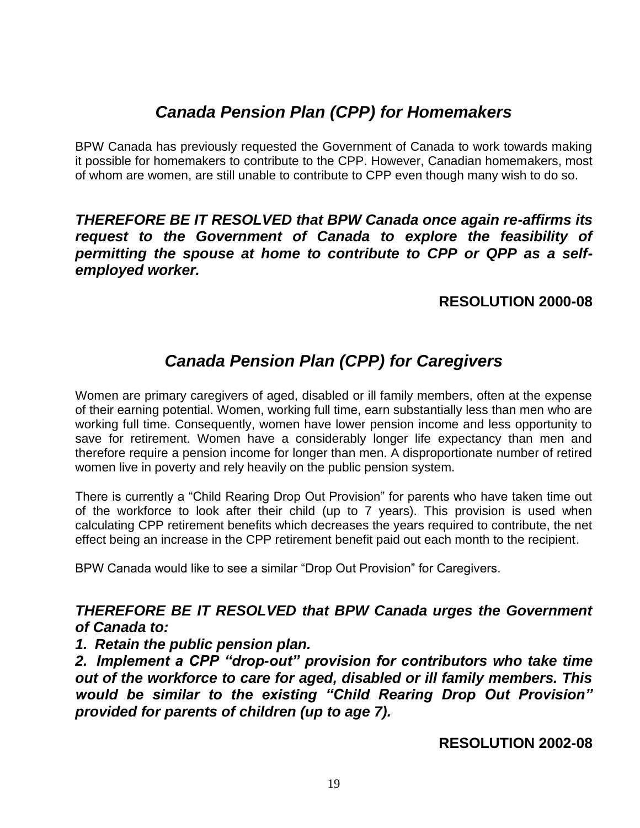### *Canada Pension Plan (CPP) for Homemakers*

BPW Canada has previously requested the Government of Canada to work towards making it possible for homemakers to contribute to the CPP. However, Canadian homemakers, most of whom are women, are still unable to contribute to CPP even though many wish to do so.

#### *THEREFORE BE IT RESOLVED that BPW Canada once again re-affirms its request to the Government of Canada to explore the feasibility of permitting the spouse at home to contribute to CPP or QPP as a selfemployed worker.*

#### **RESOLUTION 2000-08**

### *Canada Pension Plan (CPP) for Caregivers*

Women are primary caregivers of aged, disabled or ill family members, often at the expense of their earning potential. Women, working full time, earn substantially less than men who are working full time. Consequently, women have lower pension income and less opportunity to save for retirement. Women have a considerably longer life expectancy than men and therefore require a pension income for longer than men. A disproportionate number of retired women live in poverty and rely heavily on the public pension system.

There is currently a "Child Rearing Drop Out Provision" for parents who have taken time out of the workforce to look after their child (up to 7 years). This provision is used when calculating CPP retirement benefits which decreases the years required to contribute, the net effect being an increase in the CPP retirement benefit paid out each month to the recipient.

BPW Canada would like to see a similar "Drop Out Provision" for Caregivers.

#### *THEREFORE BE IT RESOLVED that BPW Canada urges the Government of Canada to:*

#### *1. Retain the public pension plan.*

*2. Implement a CPP "drop-out" provision for contributors who take time out of the workforce to care for aged, disabled or ill family members. This would be similar to the existing "Child Rearing Drop Out Provision" provided for parents of children (up to age 7).*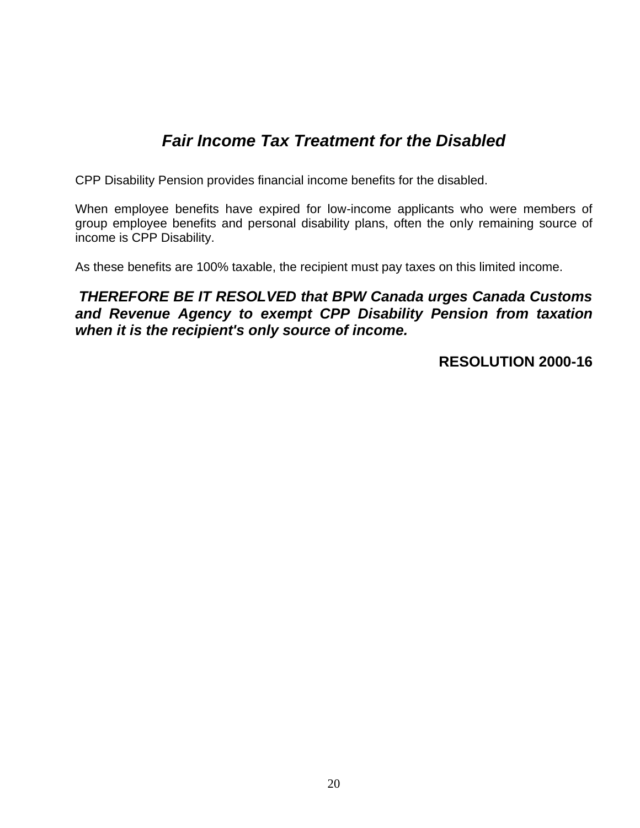### *Fair Income Tax Treatment for the Disabled*

CPP Disability Pension provides financial income benefits for the disabled.

When employee benefits have expired for low-income applicants who were members of group employee benefits and personal disability plans, often the only remaining source of income is CPP Disability.

As these benefits are 100% taxable, the recipient must pay taxes on this limited income.

#### *THEREFORE BE IT RESOLVED that BPW Canada urges Canada Customs and Revenue Agency to exempt CPP Disability Pension from taxation when it is the recipient's only source of income.*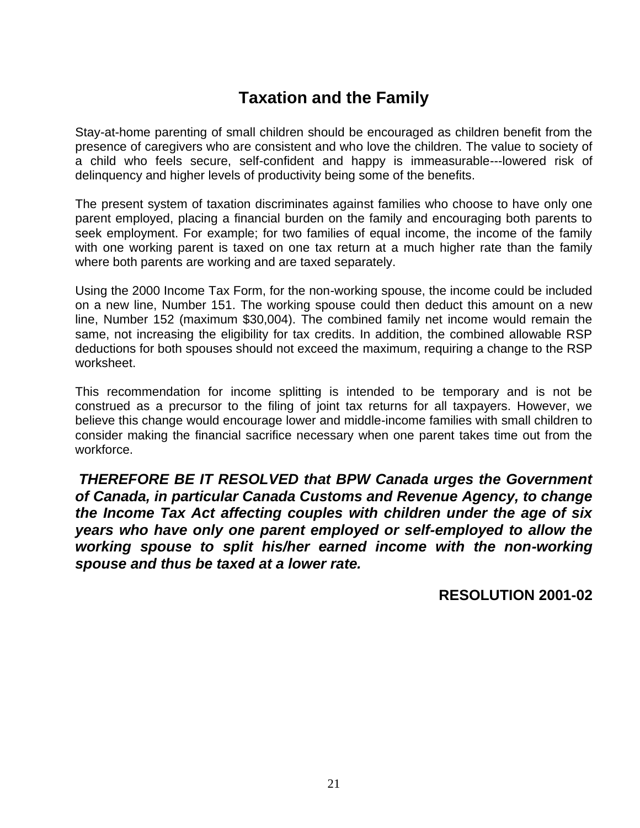### **Taxation and the Family**

Stay-at-home parenting of small children should be encouraged as children benefit from the presence of caregivers who are consistent and who love the children. The value to society of a child who feels secure, self-confident and happy is immeasurable---lowered risk of delinquency and higher levels of productivity being some of the benefits.

The present system of taxation discriminates against families who choose to have only one parent employed, placing a financial burden on the family and encouraging both parents to seek employment. For example; for two families of equal income, the income of the family with one working parent is taxed on one tax return at a much higher rate than the family where both parents are working and are taxed separately.

Using the 2000 Income Tax Form, for the non-working spouse, the income could be included on a new line, Number 151. The working spouse could then deduct this amount on a new line, Number 152 (maximum \$30,004). The combined family net income would remain the same, not increasing the eligibility for tax credits. In addition, the combined allowable RSP deductions for both spouses should not exceed the maximum, requiring a change to the RSP worksheet.

This recommendation for income splitting is intended to be temporary and is not be construed as a precursor to the filing of joint tax returns for all taxpayers. However, we believe this change would encourage lower and middle-income families with small children to consider making the financial sacrifice necessary when one parent takes time out from the workforce.

*THEREFORE BE IT RESOLVED that BPW Canada urges the Government of Canada, in particular Canada Customs and Revenue Agency, to change the Income Tax Act affecting couples with children under the age of six years who have only one parent employed or self-employed to allow the working spouse to split his/her earned income with the non-working spouse and thus be taxed at a lower rate.*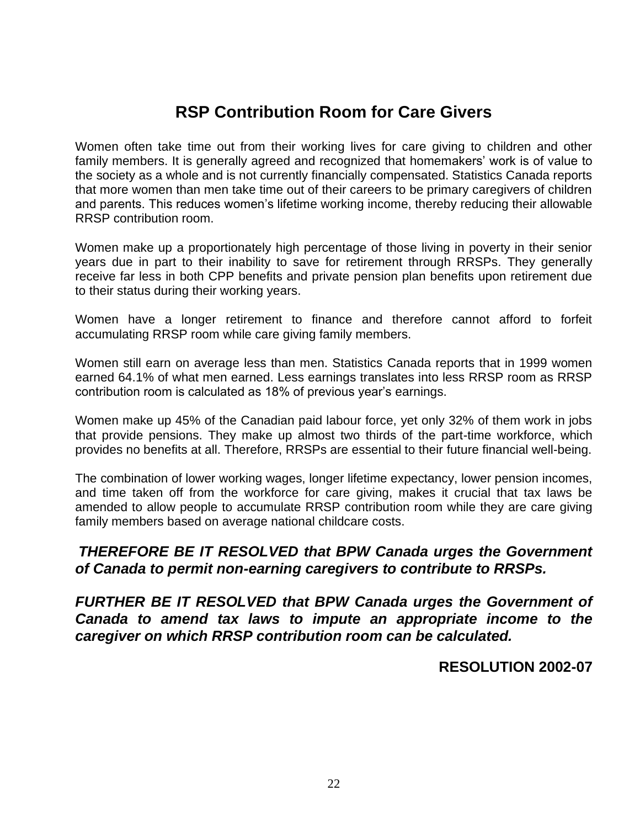### **RSP Contribution Room for Care Givers**

Women often take time out from their working lives for care giving to children and other family members. It is generally agreed and recognized that homemakers' work is of value to the society as a whole and is not currently financially compensated. Statistics Canada reports that more women than men take time out of their careers to be primary caregivers of children and parents. This reduces women's lifetime working income, thereby reducing their allowable RRSP contribution room.

Women make up a proportionately high percentage of those living in poverty in their senior years due in part to their inability to save for retirement through RRSPs. They generally receive far less in both CPP benefits and private pension plan benefits upon retirement due to their status during their working years.

Women have a longer retirement to finance and therefore cannot afford to forfeit accumulating RRSP room while care giving family members.

Women still earn on average less than men. Statistics Canada reports that in 1999 women earned 64.1% of what men earned. Less earnings translates into less RRSP room as RRSP contribution room is calculated as 18% of previous year's earnings.

Women make up 45% of the Canadian paid labour force, yet only 32% of them work in jobs that provide pensions. They make up almost two thirds of the part-time workforce, which provides no benefits at all. Therefore, RRSPs are essential to their future financial well-being.

The combination of lower working wages, longer lifetime expectancy, lower pension incomes, and time taken off from the workforce for care giving, makes it crucial that tax laws be amended to allow people to accumulate RRSP contribution room while they are care giving family members based on average national childcare costs.

#### *THEREFORE BE IT RESOLVED that BPW Canada urges the Government of Canada to permit non-earning caregivers to contribute to RRSPs.*

*FURTHER BE IT RESOLVED that BPW Canada urges the Government of Canada to amend tax laws to impute an appropriate income to the caregiver on which RRSP contribution room can be calculated.*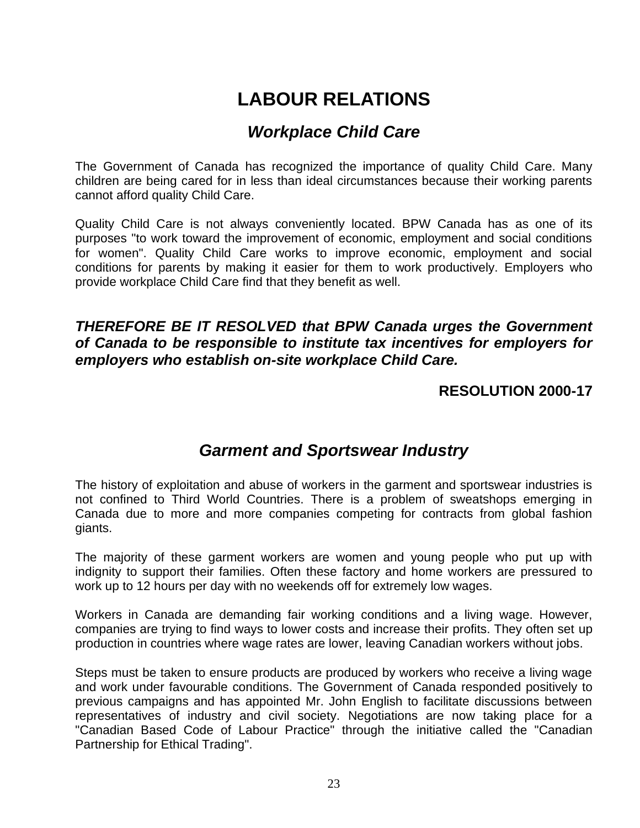# **LABOUR RELATIONS**

### *Workplace Child Care*

The Government of Canada has recognized the importance of quality Child Care. Many children are being cared for in less than ideal circumstances because their working parents cannot afford quality Child Care.

Quality Child Care is not always conveniently located. BPW Canada has as one of its purposes "to work toward the improvement of economic, employment and social conditions for women". Quality Child Care works to improve economic, employment and social conditions for parents by making it easier for them to work productively. Employers who provide workplace Child Care find that they benefit as well.

#### *THEREFORE BE IT RESOLVED that BPW Canada urges the Government of Canada to be responsible to institute tax incentives for employers for employers who establish on-site workplace Child Care.*

#### **RESOLUTION 2000-17**

#### *Garment and Sportswear Industry*

The history of exploitation and abuse of workers in the garment and sportswear industries is not confined to Third World Countries. There is a problem of sweatshops emerging in Canada due to more and more companies competing for contracts from global fashion giants.

The majority of these garment workers are women and young people who put up with indignity to support their families. Often these factory and home workers are pressured to work up to 12 hours per day with no weekends off for extremely low wages.

Workers in Canada are demanding fair working conditions and a living wage. However, companies are trying to find ways to lower costs and increase their profits. They often set up production in countries where wage rates are lower, leaving Canadian workers without jobs.

Steps must be taken to ensure products are produced by workers who receive a living wage and work under favourable conditions. The Government of Canada responded positively to previous campaigns and has appointed Mr. John English to facilitate discussions between representatives of industry and civil society. Negotiations are now taking place for a "Canadian Based Code of Labour Practice" through the initiative called the "Canadian Partnership for Ethical Trading".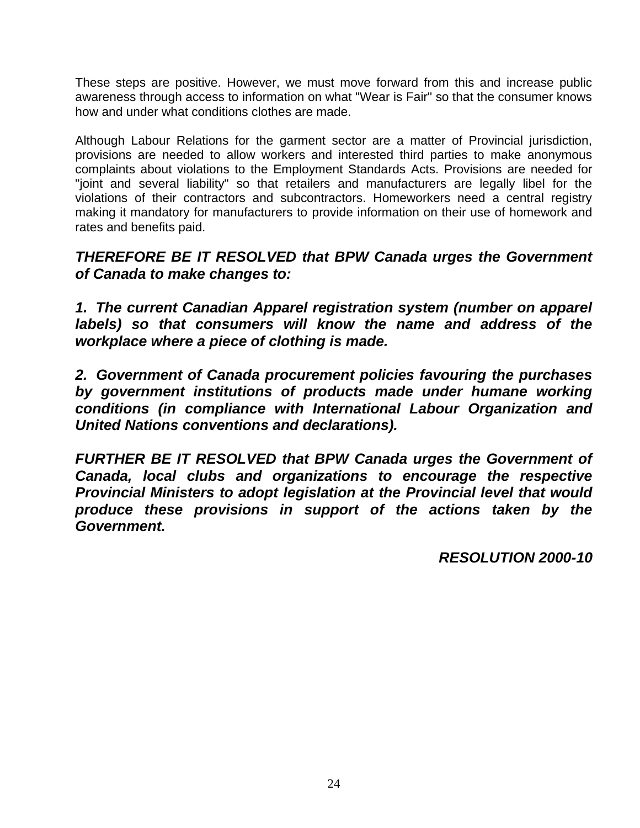These steps are positive. However, we must move forward from this and increase public awareness through access to information on what "Wear is Fair" so that the consumer knows how and under what conditions clothes are made.

Although Labour Relations for the garment sector are a matter of Provincial jurisdiction, provisions are needed to allow workers and interested third parties to make anonymous complaints about violations to the Employment Standards Acts. Provisions are needed for "joint and several liability" so that retailers and manufacturers are legally libel for the violations of their contractors and subcontractors. Homeworkers need a central registry making it mandatory for manufacturers to provide information on their use of homework and rates and benefits paid.

*THEREFORE BE IT RESOLVED that BPW Canada urges the Government of Canada to make changes to:*

*1. The current Canadian Apparel registration system (number on apparel labels) so that consumers will know the name and address of the workplace where a piece of clothing is made.*

*2. Government of Canada procurement policies favouring the purchases by government institutions of products made under humane working conditions (in compliance with International Labour Organization and United Nations conventions and declarations).*

*FURTHER BE IT RESOLVED that BPW Canada urges the Government of Canada, local clubs and organizations to encourage the respective Provincial Ministers to adopt legislation at the Provincial level that would produce these provisions in support of the actions taken by the Government.*